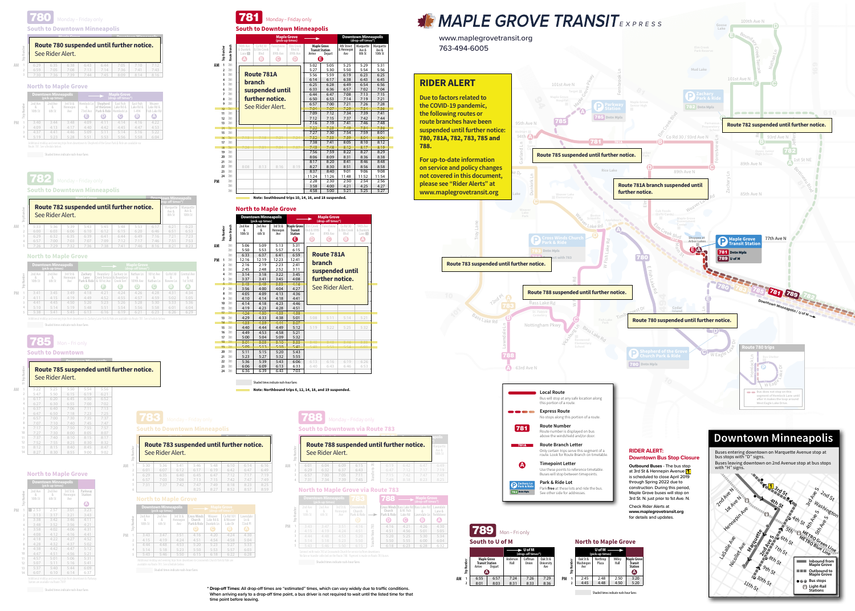Edina

|    |                |                         | <b>Downtown Minneapolis</b><br>(pick-up times) |                             | <b>Maple Grove</b><br>(drop-off times*) |                                                   |                                           |                                         |                                                |  |  |
|----|----------------|-------------------------|------------------------------------------------|-----------------------------|-----------------------------------------|---------------------------------------------------|-------------------------------------------|-----------------------------------------|------------------------------------------------|--|--|
|    | Number<br>È    | 2nd Ave<br>&<br>10th St | 2nd Ave<br>&<br>6th St                         | 3rd St &<br>Hennepin<br>Ave | Hemlock Ln<br>8<br>73rd Ave<br>⊟        | Shepherd<br>of the Grove<br>Park & Ride<br>$\Box$ | East Fish<br>Lake Rd &<br>Hemlock Ln<br>C | East Fish<br>Lake Rd &<br>$ -494$<br>G) | Weaver<br>Lake Rd &<br>Fish Lake Rd<br>$\bf A$ |  |  |
| PM |                | 3:40                    | 3:44                                           | 3:48                        | 4:09                                    | 4:11                                              | 4:14                                      | 4:16                                    | 4:22                                           |  |  |
|    | $\overline{2}$ | 4:09                    | 4:13                                           | 4:17                        | 4:40                                    | 4:42                                              | 4:45                                      | 4:47                                    | 4:53                                           |  |  |
|    |                | 4:37                    | 4:41                                           | 4:46                        | 5:09                                    | 5:11                                              | 5:14                                      | 5:16                                    | 5:22                                           |  |  |
|    | 4              | 5:19                    | 5:23                                           | 5:28                        | 5:51                                    | 5:53                                              | 5:56                                      | 5:58                                    | 6:04                                           |  |  |

Additional midday and evening trips from downtown to Shepherd of the Grove Park & Ride are available via Route 781. See schedule below.

**South to U of M** 789 Mon-Fri only

|                                                         |  | $6:29$ 6:35 6:38 6:43 6:44 7:05 7:10 7:12             |  |  |
|---------------------------------------------------------|--|-------------------------------------------------------|--|--|
|                                                         |  | 6:59   7:05   7:08   7:13   7:14   7:36   7:41   7:43 |  |  |
| $7:30$ $7:36$ $7:39$ $7:44$ $7:45$ $8:09$ $8:14$ $8:16$ |  |                                                       |  |  |
|                                                         |  |                                                       |  |  |

**Trip Number**

# **North to Maple Grove**

**South to Downtown Minneapolis**

#### 780 Monday – Friday only

#### **Maple Grove (pick-up times) Route Too suspended** See Rider Alert. **A B C D** 6:04 6:29 6:32 6:37 6:43 6:57 7:00 7:05 7:11 7:31 7:34 7:39 7:45 **Trip Number 2 3 Downtown Minneapolis (drop-off times\*) Crosswinds D** 6:19 6:42 6:47 6:49 7:15 7:42 7:47 7:49 783 Transfer to 783 **Route 783 suspended until further notice.**<br>See Rider Alert. See Rider Alert.

Shaded times indicate rush-hour fares

|    |               |                         | <b>Downtown Minneapolis</b><br>(pick-up times) |                             |                                       | <b>Maple Grove</b><br>(drop-off times*)                   |                               |                                  |                                            |                                   |                                                                                      |  |  |
|----|---------------|-------------------------|------------------------------------------------|-----------------------------|---------------------------------------|-----------------------------------------------------------|-------------------------------|----------------------------------|--------------------------------------------|-----------------------------------|--------------------------------------------------------------------------------------|--|--|
|    | Number<br>iii | 2nd Ave<br>&<br>10th St | 2nd Ave<br>6th St                              | 3rd St &<br>Hennepin<br>Ave | Zachary<br>Lane<br>Park & Ride<br>(G) | Boundary<br>Creek Terracel & Boundary<br>& 101st Ave<br>Œ | Zachary Ln<br>Creek Terr<br>E | Nathan Ln<br>8<br>109th Ave<br>D | 101st Ave<br>&<br>Nathan Ln<br>$\mathbf C$ | Co Rd 30<br>8<br>Revere Ln<br>(B) | Central Ave<br>1st St NE<br>$\left( \begin{array}{c} \mathbf{A} \end{array} \right)$ |  |  |
| PM |               | 3:41                    | 3:45                                           | 3:49                        | 4:18                                  | 4:21                                                      | 4:24                          | 4:26                             | 4:28                                       | 4:31                              | 4:34                                                                                 |  |  |
|    |               | 4:11                    | 4:15                                           | 4:19                        | 4:49                                  | 4:52                                                      | 4:55                          | 4:57                             | 4:59                                       | 5:02                              | 5:05                                                                                 |  |  |
|    |               | 4:41                    | 4:45                                           | 4:50                        | 5:20                                  | 5:23                                                      | 5:26                          | 5:28                             | 5:30                                       | 5:33                              | 5:36                                                                                 |  |  |
|    | 4             | 5:10                    | 5:14                                           | 5:19                        | 5:48                                  | 5:51                                                      | 5:54                          | 5:56                             | 5:58                                       | 6:01                              | 6:04                                                                                 |  |  |
|    | E.            | 5:38                    | 5:41                                           | 5:45                        | 6:13                                  | 6:16                                                      | 6:19                          | 6:21                             | 6:23                                       | 6:26                              | 6:29                                                                                 |  |  |

Additional midday and evening trips from downtown to Zachary Lane Park & Ride are available via Route 781. See schedule below.

e:<br>. **Due to factors related to the COVID-19 pandemic, the following routes or route branches have been suspended until further notice: 780, 781A, 782, 783, 785 and 788.** 



**B please see "Rider Alerts" at**  89th Ave N **on service and policy changes**  not covered in this document, **For up-to-date information www.maplegrovetransit.org**

## 785 lon – Fri only

**Trip Number**

### **North to Maple Grove**

# 782

**South to Downtown Minneapolis**

Shaded times indicate rush-hour fares





# **North to Maple Grove**

|                |                         | <b>Downtown Minneapolis</b><br>(pick-up times) |                             | <b>Maple Grove</b><br>(drop-off times*)                                                |                                        |                                       |                                             |  |  |
|----------------|-------------------------|------------------------------------------------|-----------------------------|----------------------------------------------------------------------------------------|----------------------------------------|---------------------------------------|---------------------------------------------|--|--|
| Number<br>ÎΠ   | 2nd Ave<br>8<br>10th St | 2nd Ave<br>&<br>6th St                         | 3rd St &<br>Hennepin<br>Ave | Cross Winds<br>Church<br>Park & Ride<br>D                                              | Weaver<br>Lake Rd &<br>Dunkirk Ln<br>С | Co Rd 101<br>& Weaver<br>Lake Dr<br>B | Lawndale<br>Ln &<br>72nd PI<br>$\mathbf{A}$ |  |  |
| $\overline{1}$ | 3:43                    | 3:47                                           | 3:51                        | 4:16                                                                                   | 4:20                                   | 4:24                                  | 4:30                                        |  |  |
| $\overline{2}$ | 4:15                    | 4:19                                           | 4:24                        | 4:51                                                                                   | 4:54                                   | 4:58                                  | 5:04                                        |  |  |
| 3              | 4:44                    | 4:48                                           | 4:53                        | 5:20                                                                                   | 5:23                                   | 5:27                                  | 5:33                                        |  |  |
| 4              | 5:14                    | 5:18                                           | 5:23                        | 5:50                                                                                   | 5:53                                   | 5:57                                  | 6:03                                        |  |  |
| 5              | 5:43                    | 5:46                                           | 5:50                        | 6:15                                                                                   | 6:18                                   | 6:22                                  | 6:28                                        |  |  |
|                |                         | available via Route 781. See schedule below.   |                             | Additional midday and evening trips from downtown to Crosswinds Church Park & Ride are |                                        |                                       |                                             |  |  |
|                |                         | Shaded times indicate rush-hour fares          |                             |                                                                                        |                                        |                                       |                                             |  |  |

| Route 780 suspended until further notice.<br>See Rider Alert. |  |  |  |
|---------------------------------------------------------------|--|--|--|
|                                                               |  |  |  |

| <u>INVALLED JUSPELING &amp; A</u><br>Number<br>See Rider Alert.<br>È |   |      |      |      |      |      |      |      |      |  |  |
|----------------------------------------------------------------------|---|------|------|------|------|------|------|------|------|--|--|
| ΑM                                                                   |   | 5:30 | 5:36 | 5:41 | 5:46 | 5:48 | 6:10 | 6:14 | 6:16 |  |  |
|                                                                      |   | 6:01 | 6:07 | 6:12 | 6:17 | 6:19 | 6:42 | 6:47 | 6:49 |  |  |
|                                                                      | 3 | 6:29 | 6:35 | 6:40 | 6:45 | 6:47 | 7:12 | 7:17 | 7:19 |  |  |
|                                                                      | 4 | 6:57 | 7:03 | 7:08 | 7:13 | 7:15 | 7:42 | 7:47 | 7:49 |  |  |
|                                                                      | 5 | 7:31 | 7:37 | 7:42 | 7:47 | 7:49 | 8:18 | 8:23 | 8:25 |  |  |
|                                                                      | 6 |      |      |      | 8:25 | 8:27 | 8:52 | 8:57 | 8:59 |  |  |

783 **South to Downtown Minneapolis**



Shaded times indicate rush-hour fares

www.maplegrovetransit.org 763-494-6005

|                  | <b>Downtown Minneapolis</b><br>$Mon \sim Fnon$<br>op-off times*)<br>Route 782 suspended until further notice. |                               |      |      |      |      |      |      |      |  |
|------------------|---------------------------------------------------------------------------------------------------------------|-------------------------------|------|------|------|------|------|------|------|--|
| See Rider Alert. | Marquette<br>Ave &<br>8th St                                                                                  | Marquette<br>Ave &<br>10th St |      |      |      |      |      |      |      |  |
| 5:33             | 5:36                                                                                                          | 5:39                          | 5:43 | 5:45 | 5:48 | 5:53 | 6:17 | 6:21 | 6:23 |  |
| 6:00             | 6:03                                                                                                          | 6:06                          | 6:10 | 6:12 | 6:15 | 6:20 | 6:46 | 6:51 | 6:53 |  |
| 6:29             | 6:32                                                                                                          | 6:35                          | 6:39 | 6:41 | 6:44 | 6:49 | 7:16 | 7:21 | 7:23 |  |
| 6:57             | 7:00                                                                                                          | 7:03                          | 7:07 | 7:09 | 7:12 | 7:17 | 7:46 | 7:51 | 7:53 |  |
| 7:26             | 7:29                                                                                                          | 7:32                          | 7:36 | 7:38 | 7:41 | 7:46 | 8:16 | 8:21 | 8:23 |  |

|           |             |                         | <b>Downtown Minneapolis</b><br>(pick-up times) |                             | 83                                                                                                                                                               |            | 788                         |                                  | <b>Maple Grove</b><br>(drop-off times*)                         |                                                           |
|-----------|-------------|-------------------------|------------------------------------------------|-----------------------------|------------------------------------------------------------------------------------------------------------------------------------------------------------------|------------|-----------------------------|----------------------------------|-----------------------------------------------------------------|-----------------------------------------------------------|
|           | Number<br>È | 2nd Ave<br>8<br>10th St | 2nd Ave<br>&<br>6th St                         | 3rd St &<br>Hennepin<br>Ave | Crosswinds<br>Church<br>Park & Ride<br>D                                                                                                                         |            | Church<br>Park & Ride<br>O) | & W. Fish<br>Lake Rd<br><b>C</b> | Cross Winds Bass Lake Rd Bass Lake Rd<br>8,<br>Lawndale Ln<br>® | Lawndale<br>Lane &<br>Fieldstone<br>$\boldsymbol{\Delta}$ |
| <b>PM</b> |             | 3:43                    | 3:47                                           | 3:51                        | 4:16                                                                                                                                                             | 28         | 4:16                        | 4:21                             | 4:26                                                            | 4:30                                                      |
|           | ŋ           | 4:15                    | 4:19                                           | 4:24                        | 4:51                                                                                                                                                             |            | 4:51                        | 4:56                             | 5:01                                                            | 5:05                                                      |
|           | 3           | 4:44                    | 4:48                                           | 4:53                        | 5:20                                                                                                                                                             | nsfer from | 5:20                        | 5:25                             | 5:30                                                            | 5:34                                                      |
|           | 4           | 5:14                    | 5:18                                           | 5:23                        | 5:50                                                                                                                                                             |            | 5:50                        | 5:55                             | 6:00                                                            | 6:04                                                      |
|           | 5           | 5:43                    | 5:46                                           | 5:50                        | 6:15                                                                                                                                                             | <b>P</b>   | 6:18                        | 6:23                             | 6:28                                                            | 6:32                                                      |
|           |             |                         |                                                |                             | Connect with route 783 at Crosswinds Church for service to/from downtown.<br>No fare or transfer collected on the Route 788. Payment is made on Route 783 buses. |            |                             |                                  |                                                                 |                                                           |
|           |             |                         | Shaded times indicate rush-hour fares          |                             |                                                                                                                                                                  |            |                             |                                  |                                                                 |                                                           |

### **North to Maple Grove via Route 783**

| $\parallel$ Route 783 suspended until further notice. |
|-------------------------------------------------------|
| See Rider Alert.                                      |

**AM 1**

**4**

Marquette Ave &



# **RIDER ALERT**

 **Downtown Minneapolis**

| ΑM |    | 5:22 | 5:25 | 5:50 | 5:54 | 5:56 |
|----|----|------|------|------|------|------|
|    | 2  | 5:47 | 5:50 | 6:15 | 6:19 | 6:21 |
|    | 3  | 6:17 | 6:20 | 6:45 | 6:50 | 6:52 |
|    | 4  | 6:27 | 6:30 | 6:55 | 7:00 | 7:02 |
|    | 5  | 6:37 | 6:40 | 7:06 | 7:11 | 7:13 |
|    | 6  | 6:47 | 6:50 | 7:18 | 7:23 | 7:25 |
|    | 7  | 6:57 | 7:00 | 7:30 | 7:35 | 7:37 |
|    | 8  | 7:07 | 7:10 | 7:40 | 7:45 | 7:47 |
|    | 9  | 7:17 | 7:20 | 7:50 | 7:55 | 7:57 |
|    | 10 | 7:27 | 7:30 | 8:00 | 8:05 | 8:07 |
|    | 11 | 7:37 | 7:40 | 8:10 | 8:15 | 8:17 |
|    | 12 | 7:52 | 7:55 | 8:25 | 8:30 | 8:32 |
|    | 13 | 8:12 | 8:15 | 8:40 | 8:45 | 8:47 |

14 8:27 8:30 8:55 9:00 9:02

Additional midday and evening trips from downtown to Parkway Station are available via Route 781P. Shaded times indicate rush-hour fares **Downtown Minneapolis** 2nd Ave & 10th St 2nd Ave & 6th St 3rd St & Hennepin Ave **Parkway Station A** 1 2:53 2:57 3:01 3:23 3:13 3:17 3:21 3:43 3:38 3:42 3:46 4:11 3:48 3:52 3:56 4:21 3:58 4:02 4:06 4:31 4:08 4:12 4:16 4:41 4:18 4:22 4:27 4:52 4:28 4:32 4:37 5:02 4:38 4:42 4:47 5:12 4:47 4:51 4:56 5:21 4:57 | 5:01 | 5:06 | 5:31 5:07 5:11 5:16 5:41 5:37 5:40 5:44 6:09 6:07 6:10 6:14 6:37 **14 Trip Number PM 1 2 3 4 5 6 7 8 9 10 11 12 13**

**11 Trip Number**

**South to Downtown**

# **Route 785 suspended until further notice.**<br>Care Birles See Rider Alert.

**North to Maple Grove**

# **North to Maple Grove**

Shaded times indicate rush-hour fares

|    |                    |              |                         | <b>Downtown Minneapolis</b><br>(pick-up times) |                             |                                          |                                 | <b>Maple Grove</b><br>(drop-off times*) |                                 |                                            |  |
|----|--------------------|--------------|-------------------------|------------------------------------------------|-----------------------------|------------------------------------------|---------------------------------|-----------------------------------------|---------------------------------|--------------------------------------------|--|
|    | <b>Trip Number</b> | Route Branch | 2nd Ave<br>8<br>10th St | 2nd Ave<br>&<br>6th St                         | 3rd St &<br>Hennepin<br>Ave | Maple Grove<br>Ťransit<br><b>Station</b> | Elm Creek<br>Blyd & 89th<br>Ave | Forestview<br>x,<br>89th Ave            | Co Rd 30<br>& Elm Creek<br>Blvd | 94th Ave<br>& Dunkirk<br>Lane <sub>3</sub> |  |
|    |                    |              |                         |                                                |                             | Θ                                        | $\boldsymbol{\Theta}$           | o                                       | ☺                               | $\boldsymbol{\omega}$                      |  |
| AM |                    | 781          | 5:06                    | 5:09                                           | 5:13                        | 5:31                                     |                                 |                                         |                                 |                                            |  |
|    |                    | 781          | 5:50                    | 5:53                                           | 5:57                        | 6:15                                     |                                 |                                         |                                 |                                            |  |
|    |                    | 781          | 6:33                    | 6:37                                           | 6:41                        | 6:59                                     |                                 | <b>Route 781A</b>                       |                                 |                                            |  |
| PM | 1                  | 781          | 12:16                   | 12:19                                          | 12:23                       | 12:41                                    |                                 |                                         |                                 |                                            |  |
|    | ,                  | 781          | 2:16                    | 2:19                                           | 2:23                        | 2:41                                     |                                 | branch                                  |                                 |                                            |  |
|    | 3                  | 781          | 2:45                    | 2:48                                           | 2:52                        | 3:11                                     |                                 |                                         | suspended until                 |                                            |  |
|    | 4                  | 781          | 3:14                    | 3:18                                           | 3:22                        | 3:45                                     |                                 |                                         |                                 |                                            |  |
|    | 5                  | 781          | 3:37                    | 3:41                                           | 3:45                        | 4:08                                     |                                 | further notice.                         |                                 |                                            |  |
|    | ÷                  | 784          | 3:45                    | 3:49                                           | 3:53                        | $-16$                                    |                                 | See Rider Alert.                        |                                 |                                            |  |
|    | 7                  | 781          | 3:56                    | 4:00                                           | 4:04                        | 4:27                                     |                                 |                                         |                                 |                                            |  |
|    | 8                  | 781          | 4:05                    | 4:09                                           | 4:13                        | 4:36                                     |                                 |                                         |                                 |                                            |  |
|    | 9                  | 781          | 4:10                    | 4:14                                           | 4:18                        | 4:41                                     |                                 |                                         |                                 |                                            |  |
|    | 10                 | 781          | 4:14                    | 4:18                                           | 4:23                        | 4:46                                     |                                 |                                         |                                 |                                            |  |
|    | 11                 | 781          | 4:19                    | 4:23                                           | 4:28                        | 4:51                                     |                                 |                                         |                                 |                                            |  |
|    | ÷                  | 781          | 4.26                    | 430                                            | 435                         | 4.58                                     |                                 |                                         |                                 |                                            |  |
|    | 13                 | 781          | 4:29                    | 4:33                                           | 4:38                        | 5:01                                     | 5:08                            | 5:11                                    | 5:14                            | 5:21                                       |  |
|    | ÷.                 | 781          | 435                     | 439                                            | $\overline{a}$ and          | 5:07                                     |                                 |                                         |                                 |                                            |  |
|    | 15                 | 781          | 4:40                    | 4:44                                           | 4:49                        | 5:12                                     | 5:19                            | 5:22                                    | 5:25                            | 5:32                                       |  |
|    | 16                 | 781          | 4:49                    | 4:53                                           | 4:58                        | 5:21                                     |                                 |                                         |                                 |                                            |  |
|    | 17                 | 781          | 5:00                    | 5:04                                           | 5:09                        | 5:32                                     |                                 |                                         |                                 |                                            |  |
|    | ÷.                 | 781          | 5:01                    | 5:05                                           | 5:10                        | 5:33                                     |                                 |                                         |                                 |                                            |  |
|    | ÷                  | 781          | 5:09                    | 5:13                                           | 5:18                        | 5:41                                     |                                 |                                         |                                 |                                            |  |
|    | 20                 | 781          | 5:11                    | 5:15                                           | 5:20                        | 5:43                                     |                                 |                                         |                                 |                                            |  |
|    | 21                 | 781          | 5:23                    | 5:27                                           | 5:32                        | 5:55                                     |                                 |                                         |                                 |                                            |  |
|    | 22                 | 781          | 5:36                    | 5:39                                           | 5:43                        | 6:06                                     | 6:13                            | 6:16                                    | 6:19                            | 6:26                                       |  |
|    | 23                 | 781          | 6:06                    | 6:09                                           | 6:13                        | 6:33                                     | 6:40                            | 6:43                                    | 6:46                            | 6:53                                       |  |
|    | 24                 | 781          | 6:36                    | 6:39                                           | 6:43                        | 7:03                                     |                                 |                                         |                                 |                                            |  |

|           |                |              |                                 |                                 |                             | <b>Maple Grove</b><br>(pick-up times) |                                                      |                                                        | <b>Downtown Minneapolis</b><br>(drop-off times*) |                              |                               |
|-----------|----------------|--------------|---------------------------------|---------------------------------|-----------------------------|---------------------------------------|------------------------------------------------------|--------------------------------------------------------|--------------------------------------------------|------------------------------|-------------------------------|
|           | Trip Number    | Route Branch | 94th Ave<br>& Dunkirk<br>Lane 1 | Co Rd 30<br>& Elm Creek<br>Blvd | Forestview<br>8<br>89th Ave | Elm Creek<br>Blvd &<br>89th Ave       | Arrive                                               | <b>Maple Grove</b><br><b>Transit Station</b><br>Depart | 4th Street<br>& Hennepin<br>Ave                  | Marquette<br>Ave &<br>8th St | Marquette<br>Ave &<br>10th St |
|           |                |              | $\boldsymbol{\omega}$           | B                               | <b>C</b>                    | $\bf{D}$                              |                                                      | Θ                                                      |                                                  |                              |                               |
| AM        |                | 781          |                                 |                                 |                             |                                       | 5:02                                                 | 5:05                                                   | 5:25                                             | 5:29                         | 5:31                          |
|           | $\overline{2}$ | 781          |                                 |                                 |                             |                                       | 5:27                                                 | 5:30                                                   | 5:50                                             | 5:54                         | 5:56                          |
|           | 3              | 781          |                                 | <b>Route 781A</b>               |                             |                                       | 5:56                                                 | 5:59                                                   | 6:19                                             | 6:23                         | 6:25                          |
|           | 4              | 781          |                                 | branch                          |                             |                                       | 6:14                                                 | 6:17                                                   | 6:38                                             | 6:43                         | 6:45                          |
|           | 5              | 781          |                                 |                                 |                             |                                       | 6:25                                                 | 6:28                                                   | 6:49                                             | 6:54                         | 6:56                          |
|           | 6              | 781          |                                 | suspended until                 |                             |                                       | 6:33                                                 | 6:36                                                   | 6:57                                             | 7:02                         | 7:04                          |
|           | $\overline{7}$ | 781          |                                 |                                 |                             |                                       | 6:44                                                 | 6:47                                                   | 7:08                                             | 7:13                         | 7:15                          |
|           | 8              | 781          |                                 | further notice.                 |                             |                                       | 6:50                                                 | 6:53                                                   | 7:14                                             | 7:19                         | 7:21                          |
|           | 9              | 781          |                                 | See Rider Alert.                |                             |                                       | 6:57                                                 | 7:00                                                   | 7:21                                             | 7:26                         | 7:28                          |
|           | w              | 781          |                                 |                                 |                             |                                       | 704                                                  | 7:07                                                   | 7:29                                             | 7.34                         | 7:36                          |
|           | 11             | 781          |                                 |                                 |                             |                                       | 7:09                                                 | 7:12                                                   | 7:34                                             | 7:39                         | 7:41                          |
|           | 12             | 781          |                                 |                                 |                             |                                       | 7:12                                                 | 7:15                                                   | 7:37                                             | 7:42                         | 7:44                          |
|           | 13             | 781          |                                 |                                 |                             |                                       | 7:16                                                 | 7:19                                                   | 7:41                                             | 7:46                         | 7:48                          |
|           | 14             | 781          |                                 |                                 |                             |                                       | 7:22                                                 | 7:25                                                   | 7:49                                             | 7:54                         | 7:56                          |
|           | 15             | 781          |                                 |                                 |                             |                                       | 7:27                                                 | 7:30                                                   | 7:54                                             | 7:59                         | 8:01                          |
|           | t.             | 781          |                                 |                                 |                             |                                       | 7:32                                                 | 7.35                                                   | 7.59                                             | 8.04                         | 8.06                          |
|           | 17             | 781          |                                 |                                 |                             |                                       | 7:38                                                 | 7:41                                                   | 8:05                                             | 8:10                         | 8:12                          |
|           | 28             | 781          |                                 |                                 |                             |                                       | 7:45                                                 | 7:48                                                   | 8.12                                             | 8.17                         | 8.19                          |
|           | 19             | 781          |                                 |                                 |                             |                                       | 7:56                                                 | 7:59                                                   | 8:22                                             | 8:27                         | 8:29                          |
|           | 20             | 781          |                                 |                                 |                             |                                       | 8:06                                                 | 8:09                                                   | 8:31                                             | 8:36                         | 8:38                          |
|           | 21             | 781          |                                 |                                 |                             |                                       | 8:17                                                 | 8:20                                                   | 8:41                                             | 8:46                         | 8:48                          |
|           | 22             | 781          | 8:08                            | 8:13                            | 8:16                        | 8:19                                  | 8:27                                                 | 8:30                                                   | 8:51                                             | 8:56                         | 8:58                          |
|           | 23             | 781          |                                 |                                 |                             |                                       | 8:37                                                 | 8:40                                                   | 9:01                                             | 9:06                         | 9:08                          |
|           | 24             | 781          |                                 |                                 |                             |                                       | 11:24                                                | 11:26                                                  | 11:48                                            | 11:52                        | 11:54                         |
| <b>PM</b> |                | 781          |                                 |                                 |                             |                                       | 2:28                                                 | 2:30                                                   | 2:50                                             | 2:54                         | 2:56                          |
|           |                | 781          |                                 |                                 |                             |                                       | 3:58                                                 | 4:00                                                   | 4:21                                             | 4:25                         | 4:27                          |
|           |                | 781          |                                 |                                 |                             |                                       | 4:58                                                 | 5:00                                                   | 5:21                                             | 5:25                         | 5:27                          |
|           |                |              |                                 |                                 |                             |                                       | Note: Southbound trips 10, 14, 16, and 18 suspended. |                                                        |                                                  |                              |                               |



**Note: Northbound trips 6, 12, 14, 18, and 19 suspended.**